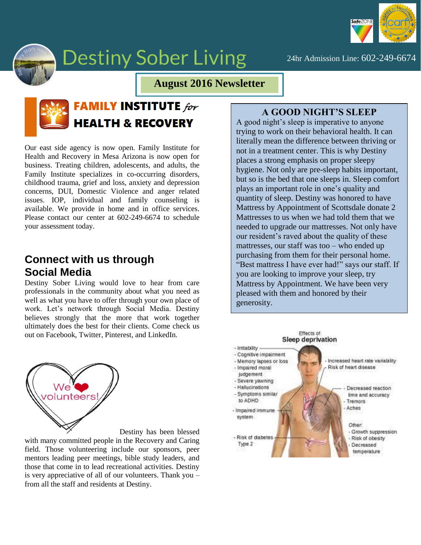

# Destiny Sober Living 24hr Admission Line: 602-249-6674

**August 2016 Newsletter**



## **FAMILY INSTITUTE** for **HEALTH & RECOVERY**

Our east side agency is now open. Family Institute for Health and Recovery in Mesa Arizona is now open for business. Treating children, adolescents, and adults, the Family Institute specializes in co-occurring disorders, childhood trauma, grief and loss, anxiety and depression concerns, DUI, Domestic Violence and anger related issues. IOP, individual and family counseling is available. We provide in home and in office services. Please contact our center at 602-249-6674 to schedule your assessment today.

### **Connect with us through Social Media**

Destiny Sober Living would love to hear from care professionals in the community about what you need as well as what you have to offer through your own place of work. Let's network through Social Media. Destiny believes strongly that the more that work together ultimately does the best for their clients. Come check us out on Facebook, Twitter, Pinterest, and LinkedIn.



Destiny has been blessed

with many committed people in the Recovery and Caring field. Those volunteering include our sponsors, peer mentors leading peer meetings, bible study leaders, and those that come in to lead recreational activities. Destiny is very appreciative of all of our volunteers. Thank you – from all the staff and residents at Destiny.

### **A GOOD NIGHT'S SLEEP**

A good night's sleep is imperative to anyone trying to work on their behavioral health. It can literally mean the difference between thriving or not in a treatment center. This is why Destiny places a strong emphasis on proper sleepy hygiene. Not only are pre-sleep habits important, but so is the bed that one sleeps in. Sleep comfort plays an important role in one's quality and quantity of sleep. Destiny was honored to have Mattress by Appointment of Scottsdale donate 2 Mattresses to us when we had told them that we needed to upgrade our mattresses. Not only have our resident's raved about the quality of these mattresses, our staff was too – who ended up purchasing from them for their personal home. "Best mattress I have ever had!" says our staff. If you are looking to improve your sleep, try Mattress by Appointment. We have been very pleased with them and honored by their generosity.